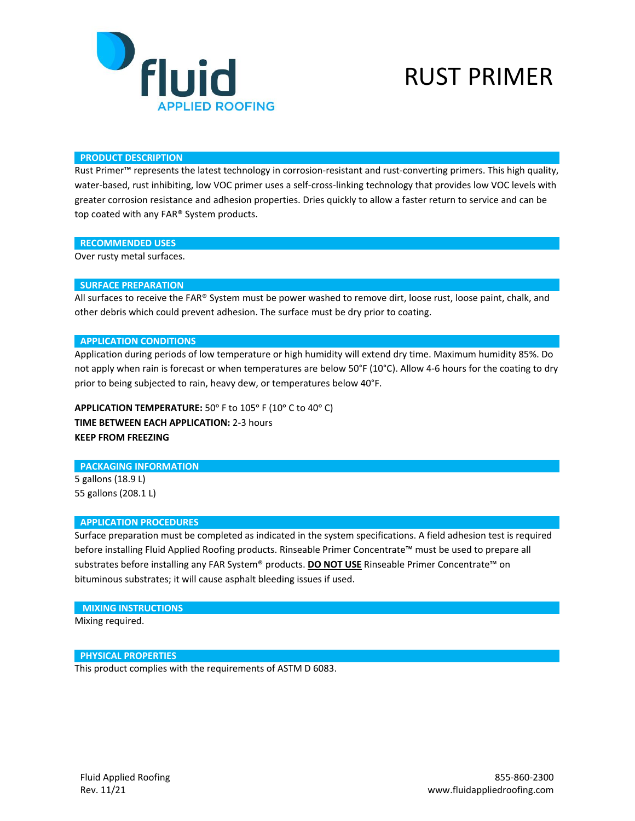

## RUST PRIMER

#### **PRODUCT DESCRIPTION**

Rust Primer™ represents the latest technology in corrosion-resistant and rust-converting primers. This high quality, water-based, rust inhibiting, low VOC primer uses a self-cross-linking technology that provides low VOC levels with greater corrosion resistance and adhesion properties. Dries quickly to allow a faster return to service and can be top coated with any FAR® System products.

#### **RECOMMENDED USES**

Over rusty metal surfaces.

## **SURFACE PREPARATION**

All surfaces to receive the FAR® System must be power washed to remove dirt, loose rust, loose paint, chalk, and other debris which could prevent adhesion. The surface must be dry prior to coating.

#### **APPLICATION CONDITIONS**

Application during periods of low temperature or high humidity will extend dry time. Maximum humidity 85%. Do not apply when rain is forecast or when temperatures are below 50°F (10°C). Allow 4-6 hours for the coating to dry prior to being subjected to rain, heavy dew, or temperatures below 40°F.

APPLICATION TEMPERATURE: 50° F to 105° F (10° C to 40° C) **TIME BETWEEN EACH APPLICATION:** 2-3 hours **KEEP FROM FREEZING**

#### **PACKAGING INFORMATION**

5 gallons (18.9 L) 55 gallons (208.1 L)

#### **APPLICATION PROCEDURES**

Surface preparation must be completed as indicated in the system specifications. A field adhesion test is required before installing Fluid Applied Roofing products. Rinseable Primer Concentrate™ must be used to prepare all substrates before installing any FAR System® products. **DO NOT USE** Rinseable Primer Concentrate™ on bituminous substrates; it will cause asphalt bleeding issues if used.

#### **MIXING INSTRUCTIONS**

Mixing required.

#### **PHYSICAL PROPERTIES**

This product complies with the requirements of ASTM D 6083.